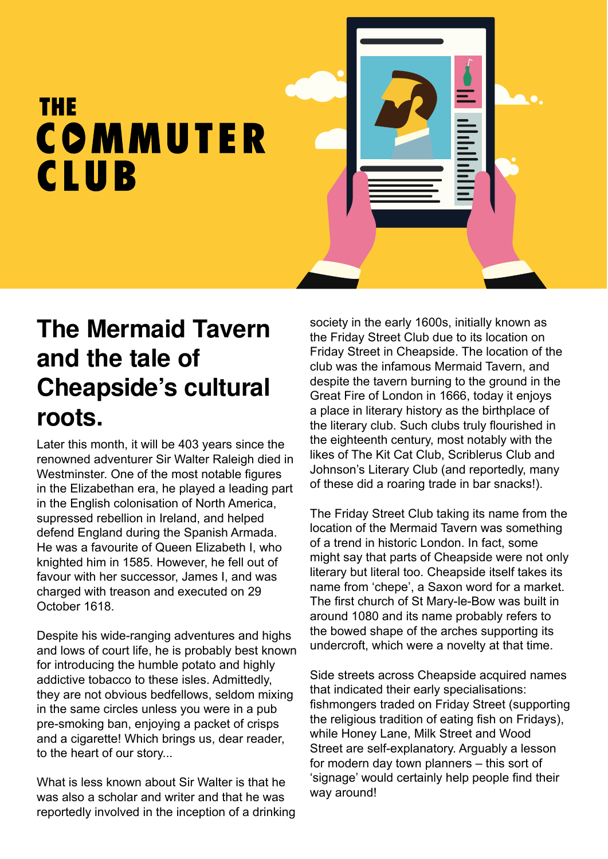## THE COMMUTER **CLUB**

## **The Mermaid Tavern and the tale of Cheapside's cultural roots.**

Later this month, it will be 403 years since the renowned adventurer Sir Walter Raleigh died in Westminster. One of the most notable figures in the Elizabethan era, he played a leading part in the English colonisation of North America, supressed rebellion in Ireland, and helped defend England during the Spanish Armada. He was a favourite of Queen Elizabeth I, who knighted him in 1585. However, he fell out of favour with her successor, James I, and was charged with treason and executed on 29 October 1618.

Despite his wide-ranging adventures and highs and lows of court life, he is probably best known for introducing the humble potato and highly addictive tobacco to these isles. Admittedly, they are not obvious bedfellows, seldom mixing in the same circles unless you were in a pub pre-smoking ban, enjoying a packet of crisps and a cigarette! Which brings us, dear reader, to the heart of our story...

What is less known about Sir Walter is that he was also a scholar and writer and that he was reportedly involved in the inception of a drinking society in the early 1600s, initially known as the Friday Street Club due to its location on Friday Street in Cheapside. The location of the club was the infamous Mermaid Tavern, and despite the tavern burning to the ground in the Great Fire of London in 1666, today it enjoys a place in literary history as the birthplace of the literary club. Such clubs truly flourished in the eighteenth century, most notably with the likes of The Kit Cat Club, Scriblerus Club and Johnson's Literary Club (and reportedly, many of these did a roaring trade in bar snacks!).

The Friday Street Club taking its name from the location of the Mermaid Tavern was something of a trend in historic London. In fact, some might say that parts of Cheapside were not only literary but literal too. Cheapside itself takes its name from 'chepe', a Saxon word for a market. The first church of St Mary-le-Bow was built in around 1080 and its name probably refers to the bowed shape of the arches supporting its undercroft, which were a novelty at that time.

Side streets across Cheapside acquired names that indicated their early specialisations: fishmongers traded on Friday Street (supporting the religious tradition of eating fish on Fridays), while Honey Lane, Milk Street and Wood Street are self-explanatory. Arguably a lesson for modern day town planners – this sort of 'signage' would certainly help people find their way around!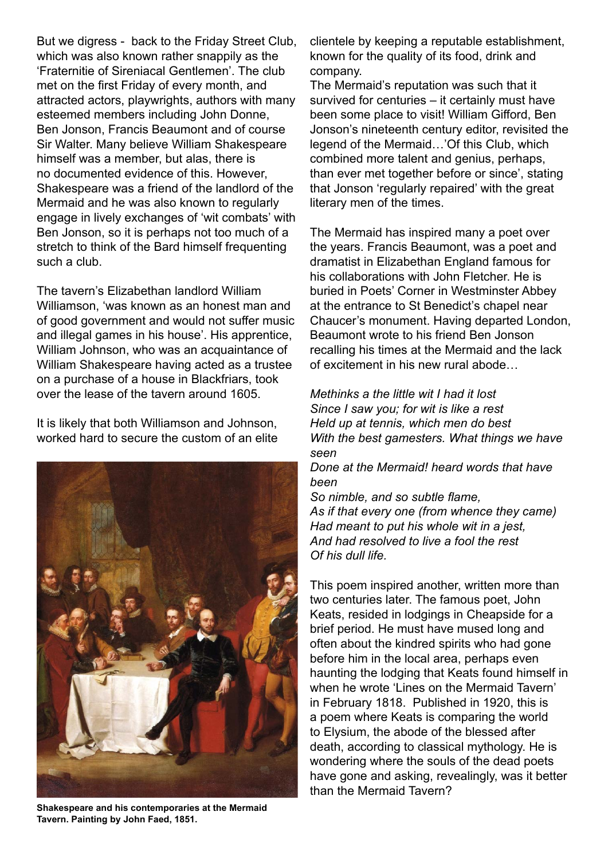But we digress - back to the Friday Street Club, which was also known rather snappily as the 'Fraternitie of Sireniacal Gentlemen'. The club met on the first Friday of every month, and attracted actors, playwrights, authors with many esteemed members including John Donne, Ben Jonson, Francis Beaumont and of course Sir Walter. Many believe William Shakespeare himself was a member, but alas, there is no documented evidence of this. However, Shakespeare was a friend of the landlord of the Mermaid and he was also known to regularly engage in lively exchanges of 'wit combats' with Ben Jonson, so it is perhaps not too much of a stretch to think of the Bard himself frequenting such a club.

The tavern's Elizabethan landlord William Williamson, 'was known as an honest man and of good government and would not suffer music and illegal games in his house'. His apprentice, William Johnson, who was an acquaintance of William Shakespeare having acted as a trustee on a purchase of a house in Blackfriars, took over the lease of the tavern around 1605.

It is likely that both Williamson and Johnson, worked hard to secure the custom of an elite



**Shakespeare and his contemporaries at the Mermaid Tavern. Painting by John Faed, 1851.**

clientele by keeping a reputable establishment, known for the quality of its food, drink and company.

The Mermaid's reputation was such that it survived for centuries – it certainly must have been some place to visit! William Gifford, Ben Jonson's nineteenth century editor, revisited the legend of the Mermaid…'Of this Club, which combined more talent and genius, perhaps, than ever met together before or since', stating that Jonson 'regularly repaired' with the great literary men of the times.

The Mermaid has inspired many a poet over the years. Francis Beaumont, was a poet and dramatist in Elizabethan England famous for his collaborations with John Fletcher. He is buried in Poets' Corner in Westminster Abbey at the entrance to St Benedict's chapel near Chaucer's monument. Having departed London, Beaumont wrote to his friend Ben Jonson recalling his times at the Mermaid and the lack of excitement in his new rural abode…

*Methinks a the little wit I had it lost Since I saw you; for wit is like a rest Held up at tennis, which men do best With the best gamesters. What things we have seen*

*Done at the Mermaid! heard words that have been* 

*So nimble, and so subtle flame, As if that every one (from whence they came) Had meant to put his whole wit in a jest, And had resolved to live a fool the rest Of his dull life.* 

This poem inspired another, written more than two centuries later. The famous poet, John Keats, resided in lodgings in Cheapside for a brief period. He must have mused long and often about the kindred spirits who had gone before him in the local area, perhaps even haunting the lodging that Keats found himself in when he wrote 'Lines on the Mermaid Tavern' in February 1818. Published in 1920, this is a poem where Keats is comparing the world to Elysium, the abode of the blessed after death, according to classical mythology. He is wondering where the souls of the dead poets have gone and asking, revealingly, was it better than the Mermaid Tavern?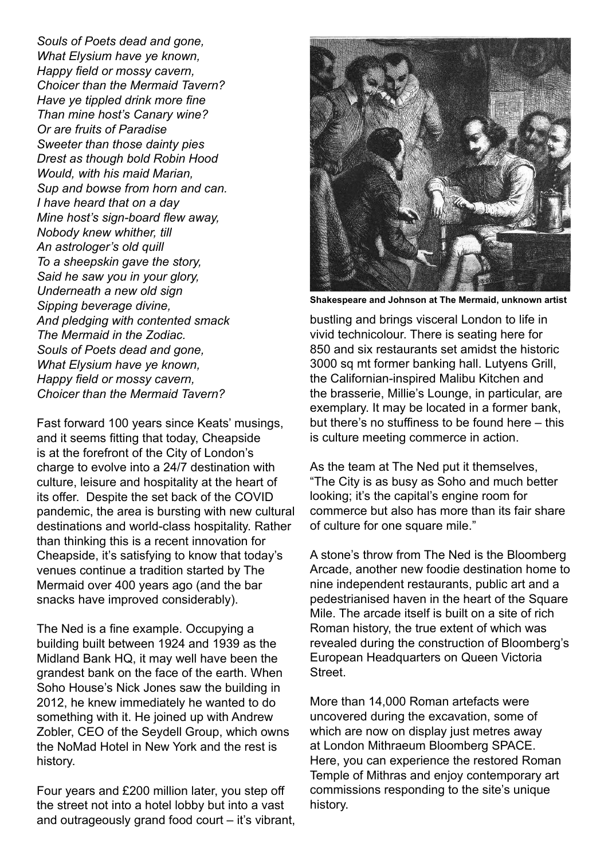*Souls of Poets dead and gone, What Elysium have ye known, Happy field or mossy cavern, Choicer than the Mermaid Tavern? Have ye tippled drink more fine Than mine host's Canary wine? Or are fruits of Paradise Sweeter than those dainty pies Drest as though bold Robin Hood Would, with his maid Marian, Sup and bowse from horn and can. I have heard that on a day Mine host's sign-board flew away, Nobody knew whither, till An astrologer's old quill To a sheepskin gave the story, Said he saw you in your glory, Underneath a new old sign Sipping beverage divine, And pledging with contented smack The Mermaid in the Zodiac. Souls of Poets dead and gone, What Elysium have ye known, Happy field or mossy cavern, Choicer than the Mermaid Tavern?* 

Fast forward 100 years since Keats' musings, and it seems fitting that today, Cheapside is at the forefront of the City of London's charge to evolve into a 24/7 destination with culture, leisure and hospitality at the heart of its offer. Despite the set back of the COVID pandemic, the area is bursting with new cultural destinations and world-class hospitality. Rather than thinking this is a recent innovation for Cheapside, it's satisfying to know that today's venues continue a tradition started by The Mermaid over 400 years ago (and the bar snacks have improved considerably).

The Ned is a fine example. Occupying a building built between 1924 and 1939 as the Midland Bank HQ, it may well have been the grandest bank on the face of the earth. When Soho House's Nick Jones saw the building in 2012, he knew immediately he wanted to do something with it. He joined up with Andrew Zobler, CEO of the Seydell Group, which owns the NoMad Hotel in New York and the rest is history.

Four years and £200 million later, you step off the street not into a hotel lobby but into a vast and outrageously grand food court – it's vibrant,



**Shakespeare and Johnson at The Mermaid, unknown artist**

bustling and brings visceral London to life in vivid technicolour. There is seating here for 850 and six restaurants set amidst the historic 3000 sq mt former banking hall. Lutyens Grill, the Californian-inspired Malibu Kitchen and the brasserie, Millie's Lounge, in particular, are exemplary. It may be located in a former bank, but there's no stuffiness to be found here – this is culture meeting commerce in action.

As the team at The Ned put it themselves, "The City is as busy as Soho and much better looking; it's the capital's engine room for commerce but also has more than its fair share of culture for one square mile."

A stone's throw from The Ned is the Bloomberg Arcade, another new foodie destination home to nine independent restaurants, public art and a pedestrianised haven in the heart of the Square Mile. The arcade itself is built on a site of rich Roman history, the true extent of which was revealed during the construction of Bloomberg's European Headquarters on Queen Victoria Street.

More than 14,000 Roman artefacts were uncovered during the excavation, some of which are now on display just metres away at London Mithraeum Bloomberg SPACE. Here, you can experience the restored Roman Temple of Mithras and enjoy contemporary art commissions responding to the site's unique history.